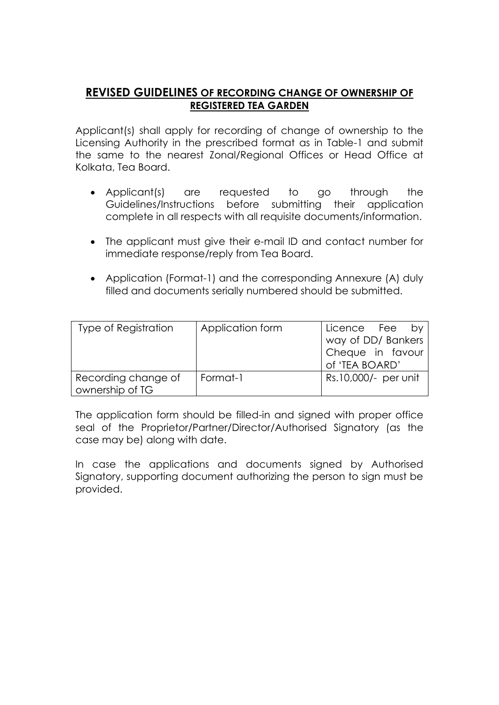# **REVISED GUIDELINES OF RECORDING CHANGE OF OWNERSHIP OF REGISTERED TEA GARDEN**

Applicant(s) shall apply for recording of change of ownership to the Licensing Authority in the prescribed format as in Table-1 and submit the same to the nearest Zonal/Regional Offices or Head Office at Kolkata, Tea Board.

- Applicant(s) are requested to go through the Guidelines/Instructions before submitting their application complete in all respects with all requisite documents/information.
- The applicant must give their e-mail ID and contact number for immediate response/reply from Tea Board.
- Application (Format-1) and the corresponding Annexure (A) duly filled and documents serially numbered should be submitted.

| <b>Type of Registration</b> | Application form | Licence Fee by       |
|-----------------------------|------------------|----------------------|
|                             |                  | way of DD/ Bankers   |
|                             |                  | Cheque in favour     |
|                             |                  | of 'TEA BOARD'       |
| Recording change of         | Format-1         | Rs.10,000/- per unit |
| ownership of TG             |                  |                      |

The application form should be filled-in and signed with proper office seal of the Proprietor/Partner/Director/Authorised Signatory (as the case may be) along with date.

In case the applications and documents signed by Authorised Signatory, supporting document authorizing the person to sign must be provided.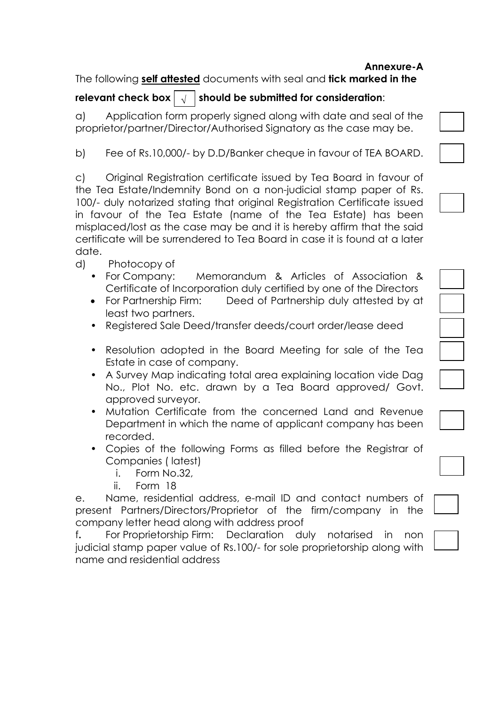## **Annexure-A**

The following **self attested** documents with seal and **tick marked in the** 

#### **relevant check box**  $\vert \sqrt{\vert}$  should be submitted for consideration:  $\sqrt{ }$

a) Application form properly signed along with date and seal of the proprietor/partner/Director/Authorised Signatory as the case may be.

b) Fee of Rs.10,000/- by D.D/Banker cheque in favour of TEA BOARD.

c) Original Registration certificate issued by Tea Board in favour of the Tea Estate/Indemnity Bond on a non-judicial stamp paper of Rs. 100/- duly notarized stating that original Registration Certificate issued in favour of the Tea Estate (name of the Tea Estate) has been misplaced/lost as the case may be and it is hereby affirm that the said certificate will be surrendered to Tea Board in case it is found at a later date.

- d) Photocopy of
	- For Company: Memorandum & Articles of Association & Certificate of Incorporation duly certified by one of the Directors
	- For Partnership Firm: Deed of Partnership duly attested by at least two partners.
	- Registered Sale Deed/transfer deeds/court order/lease deed
	- Resolution adopted in the Board Meeting for sale of the Tea Estate in case of company.
	- A Survey Map indicating total area explaining location vide Dag No., Plot No. etc. drawn by a Tea Board approved/ Govt. approved surveyor.
	- Mutation Certificate from the concerned Land and Revenue Department in which the name of applicant company has been recorded.
	- Copies of the following Forms as filled before the Registrar of Companies ( latest)
		- i. Form No.32,
		- ii. Form 18

e. Name, residential address, e-mail ID and contact numbers of present Partners/Directors/Proprietor of the firm/company in the company letter head along with address proof

f**.** For Proprietorship Firm: Declaration duly notarised in non judicial stamp paper value of Rs.100/- for sole proprietorship along with l name and residential address

| $\overline{\phantom{a}}$ |  |                          |
|--------------------------|--|--------------------------|
|                          |  |                          |
|                          |  |                          |
|                          |  |                          |
|                          |  |                          |
|                          |  |                          |
|                          |  |                          |
|                          |  |                          |
|                          |  |                          |
|                          |  | $\overline{\phantom{a}}$ |
|                          |  |                          |

| $\overline{a}$ |  |
|----------------|--|
|                |  |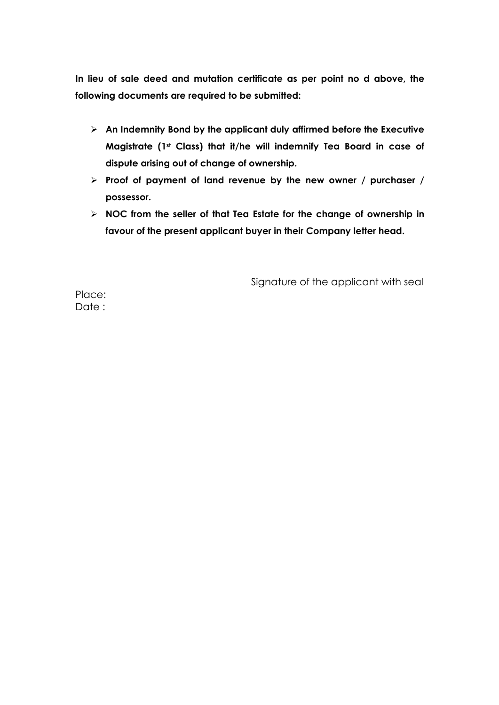**In lieu of sale deed and mutation certificate as per point no d above, the following documents are required to be submitted:**

- **An Indemnity Bond by the applicant duly affirmed before the Executive Magistrate (1st Class) that it/he will indemnify Tea Board in case of dispute arising out of change of ownership.**
- **Proof of payment of land revenue by the new owner / purchaser / possessor.**
- **NOC from the seller of that Tea Estate for the change of ownership in favour of the present applicant buyer in their Company letter head.**

Signature of the applicant with seal

Place: Date :